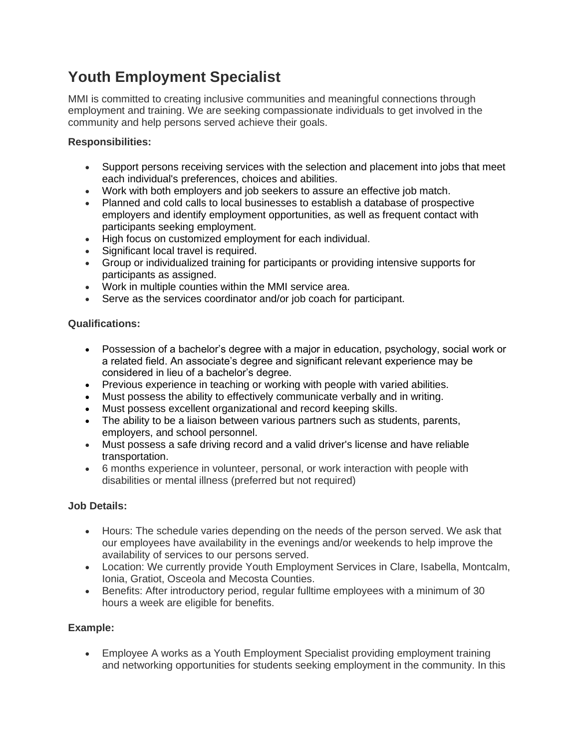# **Youth Employment Specialist**

MMI is committed to creating inclusive communities and meaningful connections through employment and training. We are seeking compassionate individuals to get involved in the community and help persons served achieve their goals.

## **Responsibilities:**

- Support persons receiving services with the selection and placement into jobs that meet each individual's preferences, choices and abilities.
- Work with both employers and job seekers to assure an effective job match.
- Planned and cold calls to local businesses to establish a database of prospective employers and identify employment opportunities, as well as frequent contact with participants seeking employment.
- High focus on customized employment for each individual.
- Significant local travel is required.
- Group or individualized training for participants or providing intensive supports for participants as assigned.
- Work in multiple counties within the MMI service area.
- Serve as the services coordinator and/or job coach for participant.

#### **Qualifications:**

- Possession of a bachelor's degree with a major in education, psychology, social work or a related field. An associate's degree and significant relevant experience may be considered in lieu of a bachelor's degree.
- Previous experience in teaching or working with people with varied abilities.
- Must possess the ability to effectively communicate verbally and in writing.
- Must possess excellent organizational and record keeping skills.
- The ability to be a liaison between various partners such as students, parents, employers, and school personnel.
- Must possess a safe driving record and a valid driver's license and have reliable transportation.
- 6 months experience in volunteer, personal, or work interaction with people with disabilities or mental illness (preferred but not required)

## **Job Details:**

- Hours: The schedule varies depending on the needs of the person served. We ask that our employees have availability in the evenings and/or weekends to help improve the availability of services to our persons served.
- Location: We currently provide Youth Employment Services in Clare, Isabella, Montcalm, Ionia, Gratiot, Osceola and Mecosta Counties.
- Benefits: After introductory period, regular fulltime employees with a minimum of 30 hours a week are eligible for benefits.

## **Example:**

• Employee A works as a Youth Employment Specialist providing employment training and networking opportunities for students seeking employment in the community. In this